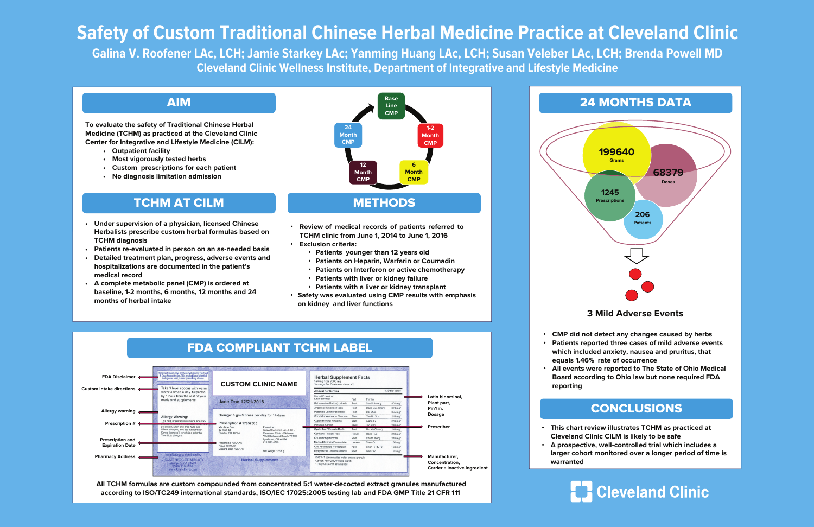# **Safety of Custom Traditional Chinese Herbal Medicine Practice at Cleveland Clinic**

**Galina V. Roofener LAc, LCH; Jamie Starkey LAc; Yanming Huang LAc, LCH; Susan Veleber LAc, LCH; Brenda Powell MD Cleveland Clinic Wellness Institute, Department of Integrative and Lifestyle Medicine**

**To evaluate the safety of Traditional Chinese Herbal Medicine (TCHM) as practiced at the Cleveland Clinic Center for Integrative and Lifestyle Medicine (CILM):**

- **Outpatient facility**
- **Most vigorously tested herbs**
- **Custom prescriptions for each patient**
- **No diagnosis limitation admission**

### **3 Mild Adverse Events**

### AIM

### **All TCHM formulas are custom compounded from concentrated 5:1 water-decocted extract granules manufactured according to ISO/TC249 international standards, ISO/IEC 17025:2005 testing lab and FDA GMP Title 21 CFR 111**

- **Under supervision of a physician, licensed Chinese Herbalists prescribe custom herbal formulas based on TCHM diagnosis**
- **Patients re-evaluated in person on an as-needed basis**
- **Detailed treatment plan, progress, adverse events and hospitalizations are documented in the patient's medical record**
- **A complete metabolic panel (CMP) is ordered at baseline, 1-2 months, 6 months, 12 months and 24 months of herbal intake**



### TCHM AT CILM



- **Review of medical records of patients referred to TCHM clinic from June 1, 2014 to June 1, 2016**
- **Exclusion criteria:**
	- **Patients younger than 12 years old**
	- **Patients on Heparin, Warfarin or Coumadin**
	- **Patients on Interferon or active chemotherapy**
	- **Patients with liver or kidney failure**
	- **Patients with a liver or kidney transplant**
- **Safety was evaluated using CMP results with emphasis on kidney and liver functions**



• **This chart review illustrates TCHM as practiced at Cleveland Clinic CILM is likely to be safe** • **A prospective, well-controlled trial which includes a** 

**larger cohort monitored over a longer period of time is**

## **E.** Cleveland Clinic

- 
- **warranted**



### CONCLUSIONS

• **CMP did not detect any changes caused by herbs** • **Patients reported three cases of mild adverse events which included anxiety, nausea and pruritus, that equals 1.46% rate of occurrence**

• **All events were reported to The State of Ohio Medical Board according to Ohio law but none required FDA** 

- 
- 
- **reporting**